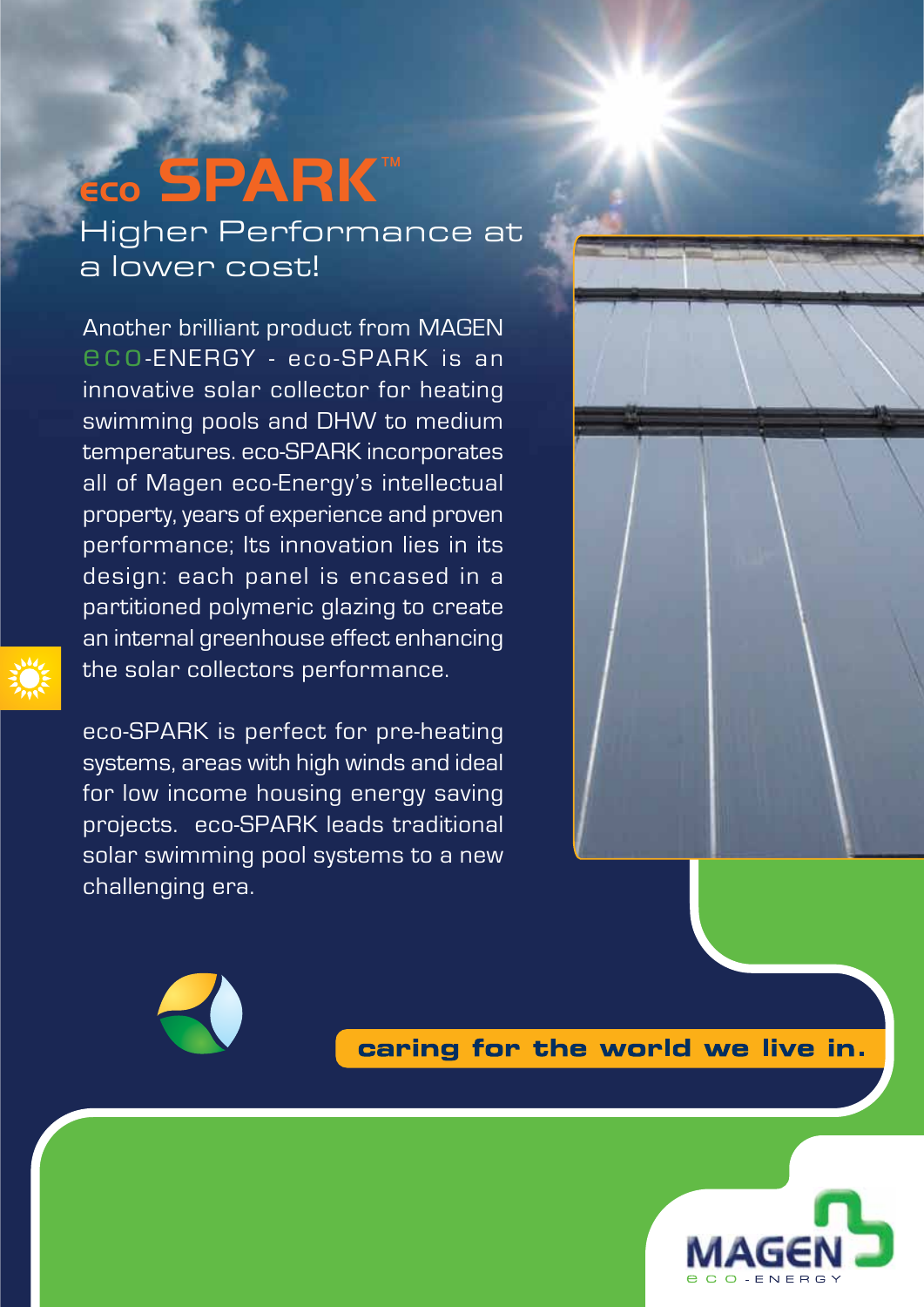# Higher Performance at a lower cost! **eco SPARK**TM

Another brilliant product from MAGEN eco-ENERGY - eco-SPARK is an innovative solar collector for heating swimming pools and DHW to medium temperatures. eco-SPARK incorporates all of Magen eco-Energy's intellectual property, years of experience and proven performance; Its innovation lies in its design: each panel is encased in a partitioned polymeric glazing to create an internal greenhouse effect enhancing the solar collectors performance.

eco-SPARK is perfect for pre-heating systems, areas with high winds and ideal for low income housing energy saving projects. eco-SPARK leads traditional solar swimming pool systems to a new challenging era.





caring for the world we live in.